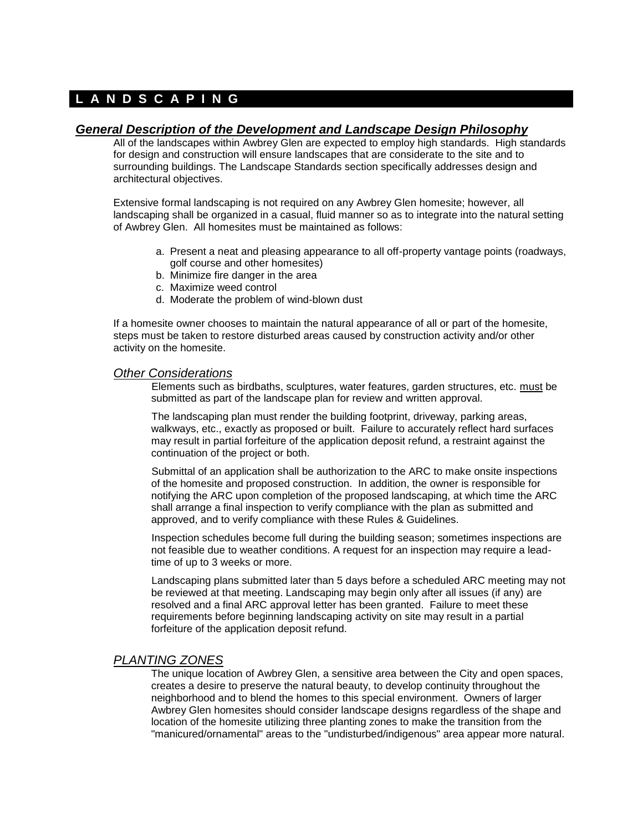# **L A N D S C A P I N G**

# *General Description of the Development and Landscape Design Philosophy*

All of the landscapes within Awbrey Glen are expected to employ high standards. High standards for design and construction will ensure landscapes that are considerate to the site and to surrounding buildings. The Landscape Standards section specifically addresses design and architectural objectives.

Extensive formal landscaping is not required on any Awbrey Glen homesite; however, all landscaping shall be organized in a casual, fluid manner so as to integrate into the natural setting of Awbrey Glen. All homesites must be maintained as follows:

- a. Present a neat and pleasing appearance to all off-property vantage points (roadways, golf course and other homesites)
- b. Minimize fire danger in the area
- c. Maximize weed control
- d. Moderate the problem of wind-blown dust

If a homesite owner chooses to maintain the natural appearance of all or part of the homesite, steps must be taken to restore disturbed areas caused by construction activity and/or other activity on the homesite.

#### *Other Considerations*

Elements such as birdbaths, sculptures, water features, garden structures, etc. must be submitted as part of the landscape plan for review and written approval.

The landscaping plan must render the building footprint, driveway, parking areas, walkways, etc., exactly as proposed or built. Failure to accurately reflect hard surfaces may result in partial forfeiture of the application deposit refund, a restraint against the continuation of the project or both.

Submittal of an application shall be authorization to the ARC to make onsite inspections of the homesite and proposed construction. In addition, the owner is responsible for notifying the ARC upon completion of the proposed landscaping, at which time the ARC shall arrange a final inspection to verify compliance with the plan as submitted and approved, and to verify compliance with these Rules & Guidelines.

Inspection schedules become full during the building season; sometimes inspections are not feasible due to weather conditions. A request for an inspection may require a leadtime of up to 3 weeks or more.

Landscaping plans submitted later than 5 days before a scheduled ARC meeting may not be reviewed at that meeting. Landscaping may begin only after all issues (if any) are resolved and a final ARC approval letter has been granted. Failure to meet these requirements before beginning landscaping activity on site may result in a partial forfeiture of the application deposit refund.

## *PLANTING ZONES*

The unique location of Awbrey Glen, a sensitive area between the City and open spaces, creates a desire to preserve the natural beauty, to develop continuity throughout the neighborhood and to blend the homes to this special environment. Owners of larger Awbrey Glen homesites should consider landscape designs regardless of the shape and location of the homesite utilizing three planting zones to make the transition from the "manicured/ornamental" areas to the "undisturbed/indigenous" area appear more natural.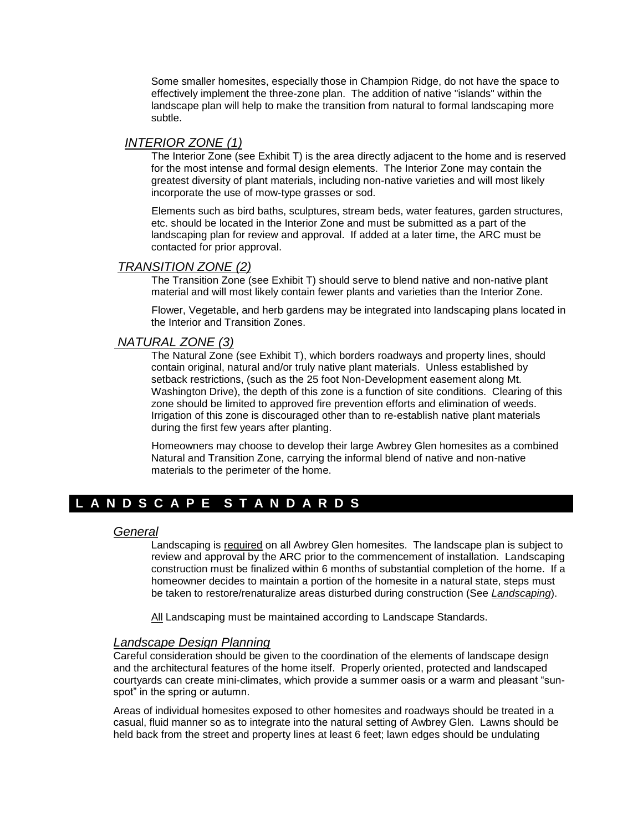Some smaller homesites, especially those in Champion Ridge, do not have the space to effectively implement the three-zone plan. The addition of native "islands" within the landscape plan will help to make the transition from natural to formal landscaping more subtle.

# *INTERIOR ZONE (1)*

The Interior Zone (see Exhibit T) is the area directly adjacent to the home and is reserved for the most intense and formal design elements. The Interior Zone may contain the greatest diversity of plant materials, including non-native varieties and will most likely incorporate the use of mow-type grasses or sod.

Elements such as bird baths, sculptures, stream beds, water features, garden structures, etc. should be located in the Interior Zone and must be submitted as a part of the landscaping plan for review and approval. If added at a later time, the ARC must be contacted for prior approval.

## *TRANSITION ZONE (2)*

The Transition Zone (see Exhibit T) should serve to blend native and non-native plant material and will most likely contain fewer plants and varieties than the Interior Zone.

Flower, Vegetable, and herb gardens may be integrated into landscaping plans located in the Interior and Transition Zones.

# *NATURAL ZONE (3)*

The Natural Zone (see Exhibit T), which borders roadways and property lines, should contain original, natural and/or truly native plant materials. Unless established by setback restrictions, (such as the 25 foot Non-Development easement along Mt. Washington Drive), the depth of this zone is a function of site conditions. Clearing of this zone should be limited to approved fire prevention efforts and elimination of weeds. Irrigation of this zone is discouraged other than to re-establish native plant materials during the first few years after planting.

Homeowners may choose to develop their large Awbrey Glen homesites as a combined Natural and Transition Zone, carrying the informal blend of native and non-native materials to the perimeter of the home.

# **L A N D S C A P E S T A N D A R D S**

## *General*

Landscaping is required on all Awbrey Glen homesites. The landscape plan is subject to review and approval by the ARC prior to the commencement of installation. Landscaping construction must be finalized within 6 months of substantial completion of the home. If a homeowner decides to maintain a portion of the homesite in a natural state, steps must be taken to restore/renaturalize areas disturbed during construction (See *Landscaping*).

All Landscaping must be maintained according to Landscape Standards.

## *Landscape Design Planning*

Careful consideration should be given to the coordination of the elements of landscape design and the architectural features of the home itself. Properly oriented, protected and landscaped courtyards can create mini-climates, which provide a summer oasis or a warm and pleasant "sunspot" in the spring or autumn.

Areas of individual homesites exposed to other homesites and roadways should be treated in a casual, fluid manner so as to integrate into the natural setting of Awbrey Glen. Lawns should be held back from the street and property lines at least 6 feet; lawn edges should be undulating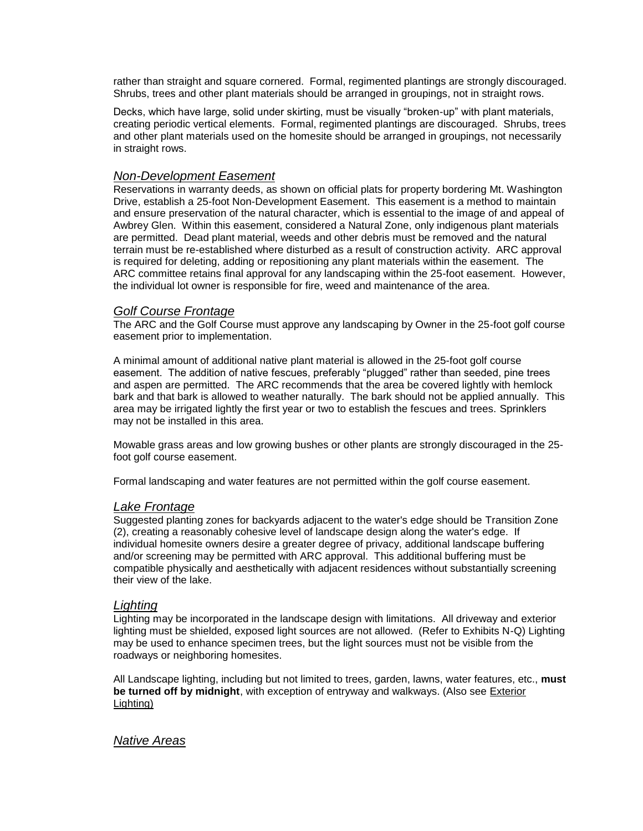rather than straight and square cornered. Formal, regimented plantings are strongly discouraged. Shrubs, trees and other plant materials should be arranged in groupings, not in straight rows.

Decks, which have large, solid under skirting, must be visually "broken-up" with plant materials, creating periodic vertical elements. Formal, regimented plantings are discouraged. Shrubs, trees and other plant materials used on the homesite should be arranged in groupings, not necessarily in straight rows.

#### *Non-Development Easement*

Reservations in warranty deeds, as shown on official plats for property bordering Mt. Washington Drive, establish a 25-foot Non-Development Easement. This easement is a method to maintain and ensure preservation of the natural character, which is essential to the image of and appeal of Awbrey Glen. Within this easement, considered a Natural Zone, only indigenous plant materials are permitted. Dead plant material, weeds and other debris must be removed and the natural terrain must be re-established where disturbed as a result of construction activity. ARC approval is required for deleting, adding or repositioning any plant materials within the easement. The ARC committee retains final approval for any landscaping within the 25-foot easement. However, the individual lot owner is responsible for fire, weed and maintenance of the area.

## *Golf Course Frontage*

The ARC and the Golf Course must approve any landscaping by Owner in the 25-foot golf course easement prior to implementation.

A minimal amount of additional native plant material is allowed in the 25-foot golf course easement. The addition of native fescues, preferably "plugged" rather than seeded, pine trees and aspen are permitted. The ARC recommends that the area be covered lightly with hemlock bark and that bark is allowed to weather naturally. The bark should not be applied annually. This area may be irrigated lightly the first year or two to establish the fescues and trees. Sprinklers may not be installed in this area.

Mowable grass areas and low growing bushes or other plants are strongly discouraged in the 25 foot golf course easement.

Formal landscaping and water features are not permitted within the golf course easement.

#### *Lake Frontage*

Suggested planting zones for backyards adjacent to the water's edge should be Transition Zone (2), creating a reasonably cohesive level of landscape design along the water's edge. If individual homesite owners desire a greater degree of privacy, additional landscape buffering and/or screening may be permitted with ARC approval. This additional buffering must be compatible physically and aesthetically with adjacent residences without substantially screening their view of the lake.

## *Lighting*

Lighting may be incorporated in the landscape design with limitations. All driveway and exterior lighting must be shielded, exposed light sources are not allowed. (Refer to Exhibits N-Q) Lighting may be used to enhance specimen trees, but the light sources must not be visible from the roadways or neighboring homesites.

All Landscape lighting, including but not limited to trees, garden, lawns, water features, etc., **must be turned off by midnight**, with exception of entryway and walkways. (Also see Exterior Lighting)

#### *Native Areas*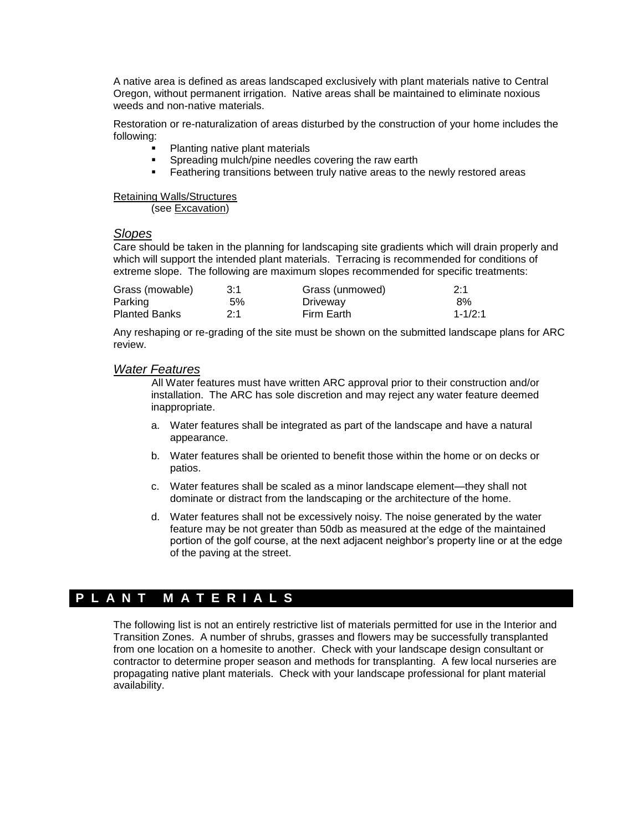A native area is defined as areas landscaped exclusively with plant materials native to Central Oregon, without permanent irrigation. Native areas shall be maintained to eliminate noxious weeds and non-native materials.

Restoration or re-naturalization of areas disturbed by the construction of your home includes the following:

- Planting native plant materials
- **Spreading mulch/pine needles covering the raw earth**
- **Feathering transitions between truly native areas to the newly restored areas**

Retaining Walls/Structures

(see Excavation)

#### *Slopes*

Care should be taken in the planning for landscaping site gradients which will drain properly and which will support the intended plant materials. Terracing is recommended for conditions of extreme slope. The following are maximum slopes recommended for specific treatments:

| Grass (mowable)      | 3:1 | Grass (unmowed) | 2:1         |
|----------------------|-----|-----------------|-------------|
| Parking              | 5%  | Driveway        | 8%          |
| <b>Planted Banks</b> | 2:1 | Firm Earth      | $1 - 1/2:1$ |

Any reshaping or re-grading of the site must be shown on the submitted landscape plans for ARC review.

#### *Water Features*

All Water features must have written ARC approval prior to their construction and/or installation. The ARC has sole discretion and may reject any water feature deemed inappropriate.

- a. Water features shall be integrated as part of the landscape and have a natural appearance.
- b. Water features shall be oriented to benefit those within the home or on decks or patios.
- c. Water features shall be scaled as a minor landscape element—they shall not dominate or distract from the landscaping or the architecture of the home.
- d. Water features shall not be excessively noisy. The noise generated by the water feature may be not greater than 50db as measured at the edge of the maintained portion of the golf course, at the next adjacent neighbor's property line or at the edge of the paving at the street.

# **P L A N T M A T E R I A L S**

The following list is not an entirely restrictive list of materials permitted for use in the Interior and Transition Zones. A number of shrubs, grasses and flowers may be successfully transplanted from one location on a homesite to another. Check with your landscape design consultant or contractor to determine proper season and methods for transplanting. A few local nurseries are propagating native plant materials. Check with your landscape professional for plant material availability.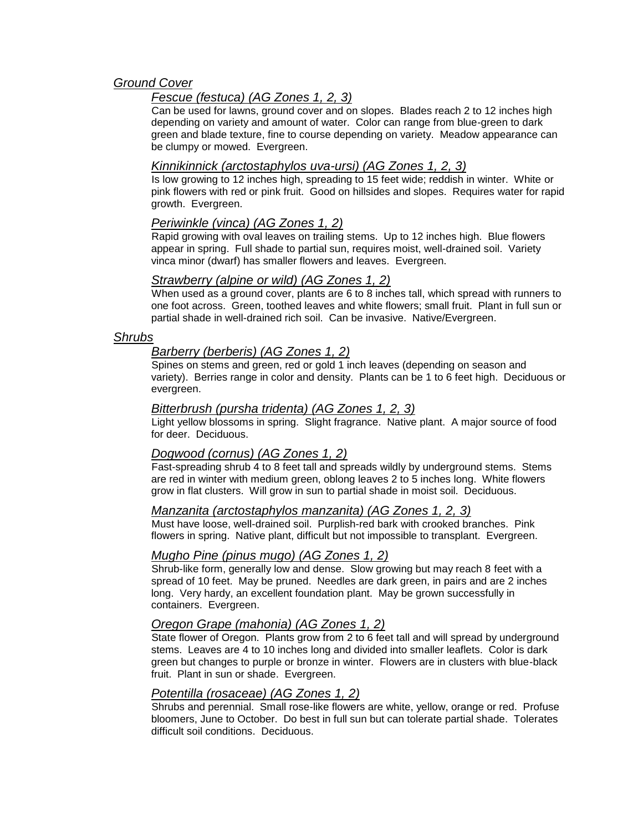# *Ground Cover*

# *Fescue (festuca) (AG Zones 1, 2, 3)*

Can be used for lawns, ground cover and on slopes. Blades reach 2 to 12 inches high depending on variety and amount of water. Color can range from blue-green to dark green and blade texture, fine to course depending on variety. Meadow appearance can be clumpy or mowed. Evergreen.

# *Kinnikinnick (arctostaphylos uva-ursi) (AG Zones 1, 2, 3)*

Is low growing to 12 inches high, spreading to 15 feet wide; reddish in winter. White or pink flowers with red or pink fruit. Good on hillsides and slopes. Requires water for rapid growth. Evergreen.

# *Periwinkle (vinca) (AG Zones 1, 2)*

Rapid growing with oval leaves on trailing stems. Up to 12 inches high. Blue flowers appear in spring. Full shade to partial sun, requires moist, well-drained soil. Variety vinca minor (dwarf) has smaller flowers and leaves. Evergreen.

# *Strawberry (alpine or wild) (AG Zones 1, 2)*

When used as a ground cover, plants are 6 to 8 inches tall, which spread with runners to one foot across. Green, toothed leaves and white flowers; small fruit. Plant in full sun or partial shade in well-drained rich soil. Can be invasive. Native/Evergreen.

# *Shrubs*

# *Barberry (berberis) (AG Zones 1, 2)*

Spines on stems and green, red or gold 1 inch leaves (depending on season and variety). Berries range in color and density. Plants can be 1 to 6 feet high. Deciduous or evergreen.

# *Bitterbrush (pursha tridenta) (AG Zones 1, 2, 3)*

Light yellow blossoms in spring. Slight fragrance. Native plant. A major source of food for deer. Deciduous.

# *Dogwood (cornus) (AG Zones 1, 2)*

Fast-spreading shrub 4 to 8 feet tall and spreads wildly by underground stems. Stems are red in winter with medium green, oblong leaves 2 to 5 inches long. White flowers grow in flat clusters. Will grow in sun to partial shade in moist soil. Deciduous.

# *Manzanita (arctostaphylos manzanita) (AG Zones 1, 2, 3)*

Must have loose, well-drained soil. Purplish-red bark with crooked branches. Pink flowers in spring. Native plant, difficult but not impossible to transplant. Evergreen.

## *Mugho Pine (pinus mugo) (AG Zones 1, 2)*

Shrub-like form, generally low and dense. Slow growing but may reach 8 feet with a spread of 10 feet. May be pruned. Needles are dark green, in pairs and are 2 inches long. Very hardy, an excellent foundation plant. May be grown successfully in containers. Evergreen.

## *Oregon Grape (mahonia) (AG Zones 1, 2)*

State flower of Oregon. Plants grow from 2 to 6 feet tall and will spread by underground stems. Leaves are 4 to 10 inches long and divided into smaller leaflets. Color is dark green but changes to purple or bronze in winter. Flowers are in clusters with blue-black fruit. Plant in sun or shade. Evergreen.

## *Potentilla (rosaceae) (AG Zones 1, 2)*

Shrubs and perennial. Small rose-like flowers are white, yellow, orange or red. Profuse bloomers, June to October. Do best in full sun but can tolerate partial shade. Tolerates difficult soil conditions. Deciduous.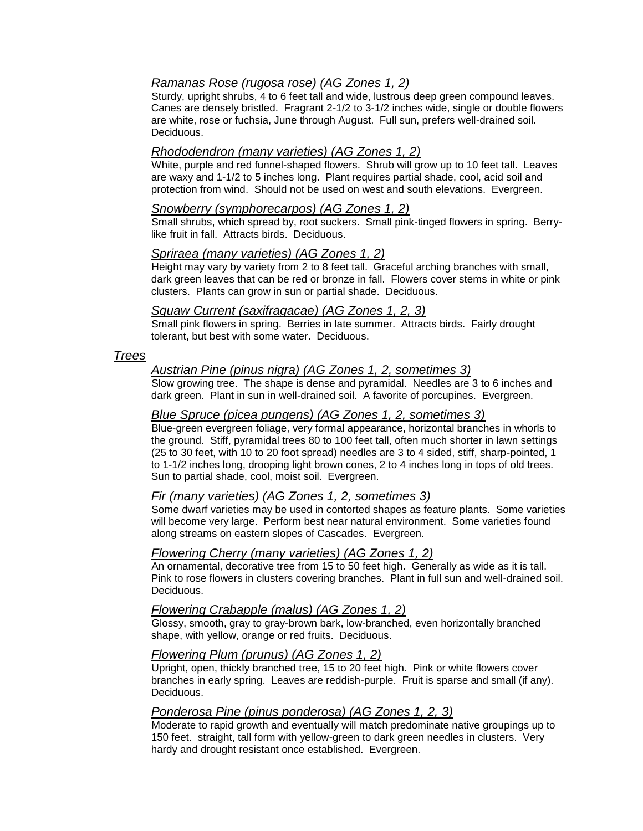# *Ramanas Rose (rugosa rose) (AG Zones 1, 2)*

Sturdy, upright shrubs, 4 to 6 feet tall and wide, lustrous deep green compound leaves. Canes are densely bristled. Fragrant 2-1/2 to 3-1/2 inches wide, single or double flowers are white, rose or fuchsia, June through August. Full sun, prefers well-drained soil. Deciduous.

# *Rhododendron (many varieties) (AG Zones 1, 2)*

White, purple and red funnel-shaped flowers. Shrub will grow up to 10 feet tall. Leaves are waxy and 1-1/2 to 5 inches long. Plant requires partial shade, cool, acid soil and protection from wind. Should not be used on west and south elevations. Evergreen.

## *Snowberry (symphorecarpos) (AG Zones 1, 2)*

Small shrubs, which spread by, root suckers. Small pink-tinged flowers in spring. Berrylike fruit in fall. Attracts birds. Deciduous.

# *Spriraea (many varieties) (AG Zones 1, 2)*

Height may vary by variety from 2 to 8 feet tall. Graceful arching branches with small, dark green leaves that can be red or bronze in fall. Flowers cover stems in white or pink clusters. Plants can grow in sun or partial shade. Deciduous.

#### *Squaw Current (saxifragacae) (AG Zones 1, 2, 3)*

Small pink flowers in spring. Berries in late summer. Attracts birds. Fairly drought tolerant, but best with some water. Deciduous.

# *Trees*

# *Austrian Pine (pinus nigra) (AG Zones 1, 2, sometimes 3)*

Slow growing tree. The shape is dense and pyramidal. Needles are 3 to 6 inches and dark green. Plant in sun in well-drained soil. A favorite of porcupines. Evergreen.

## *Blue Spruce (picea pungens) (AG Zones 1, 2, sometimes 3)*

Blue-green evergreen foliage, very formal appearance, horizontal branches in whorls to the ground. Stiff, pyramidal trees 80 to 100 feet tall, often much shorter in lawn settings (25 to 30 feet, with 10 to 20 foot spread) needles are 3 to 4 sided, stiff, sharp-pointed, 1 to 1-1/2 inches long, drooping light brown cones, 2 to 4 inches long in tops of old trees. Sun to partial shade, cool, moist soil. Evergreen.

## *Fir (many varieties) (AG Zones 1, 2, sometimes 3)*

Some dwarf varieties may be used in contorted shapes as feature plants. Some varieties will become very large. Perform best near natural environment. Some varieties found along streams on eastern slopes of Cascades. Evergreen.

## *Flowering Cherry (many varieties) (AG Zones 1, 2)*

An ornamental, decorative tree from 15 to 50 feet high. Generally as wide as it is tall. Pink to rose flowers in clusters covering branches. Plant in full sun and well-drained soil. Deciduous.

## *Flowering Crabapple (malus) (AG Zones 1, 2)*

Glossy, smooth, gray to gray-brown bark, low-branched, even horizontally branched shape, with yellow, orange or red fruits. Deciduous.

#### *Flowering Plum (prunus) (AG Zones 1, 2)*

Upright, open, thickly branched tree, 15 to 20 feet high. Pink or white flowers cover branches in early spring. Leaves are reddish-purple. Fruit is sparse and small (if any). Deciduous.

## *Ponderosa Pine (pinus ponderosa) (AG Zones 1, 2, 3)*

Moderate to rapid growth and eventually will match predominate native groupings up to 150 feet. straight, tall form with yellow-green to dark green needles in clusters. Very hardy and drought resistant once established. Evergreen.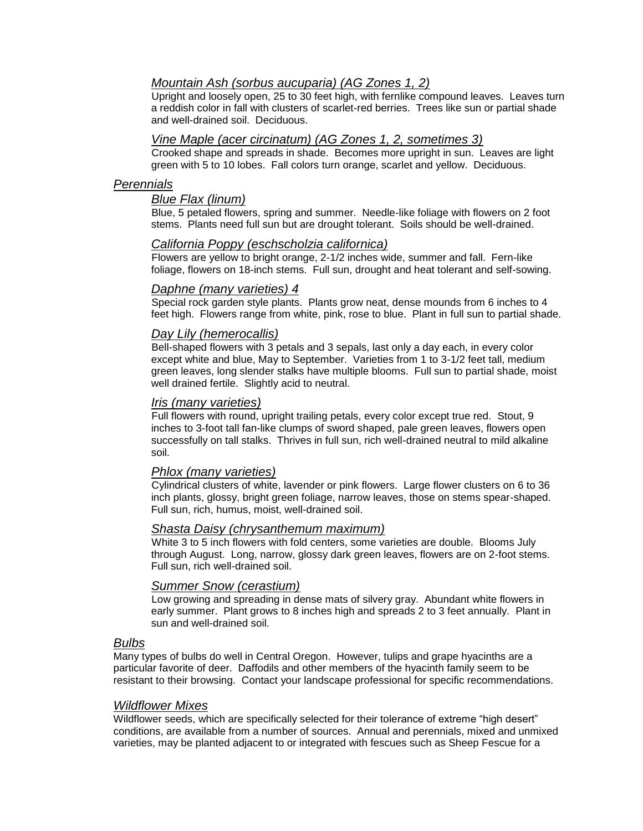# *Mountain Ash (sorbus aucuparia) (AG Zones 1, 2)*

Upright and loosely open, 25 to 30 feet high, with fernlike compound leaves. Leaves turn a reddish color in fall with clusters of scarlet-red berries. Trees like sun or partial shade and well-drained soil. Deciduous.

#### *Vine Maple (acer circinatum) (AG Zones 1, 2, sometimes 3)*

Crooked shape and spreads in shade. Becomes more upright in sun. Leaves are light green with 5 to 10 lobes. Fall colors turn orange, scarlet and yellow. Deciduous.

## *Perennials*

#### *Blue Flax (linum)*

Blue, 5 petaled flowers, spring and summer. Needle-like foliage with flowers on 2 foot stems. Plants need full sun but are drought tolerant. Soils should be well-drained.

#### *California Poppy (eschscholzia californica)*

Flowers are yellow to bright orange, 2-1/2 inches wide, summer and fall. Fern-like foliage, flowers on 18-inch stems. Full sun, drought and heat tolerant and self-sowing.

#### *Daphne (many varieties) 4*

Special rock garden style plants. Plants grow neat, dense mounds from 6 inches to 4 feet high. Flowers range from white, pink, rose to blue. Plant in full sun to partial shade.

#### *Day Lily (hemerocallis)*

Bell-shaped flowers with 3 petals and 3 sepals, last only a day each, in every color except white and blue, May to September. Varieties from 1 to 3-1/2 feet tall, medium green leaves, long slender stalks have multiple blooms. Full sun to partial shade, moist well drained fertile. Slightly acid to neutral.

#### *Iris (many varieties)*

Full flowers with round, upright trailing petals, every color except true red. Stout, 9 inches to 3-foot tall fan-like clumps of sword shaped, pale green leaves, flowers open successfully on tall stalks. Thrives in full sun, rich well-drained neutral to mild alkaline soil.

#### *Phlox (many varieties)*

Cylindrical clusters of white, lavender or pink flowers. Large flower clusters on 6 to 36 inch plants, glossy, bright green foliage, narrow leaves, those on stems spear-shaped. Full sun, rich, humus, moist, well-drained soil.

#### *Shasta Daisy (chrysanthemum maximum)*

White 3 to 5 inch flowers with fold centers, some varieties are double. Blooms July through August. Long, narrow, glossy dark green leaves, flowers are on 2-foot stems. Full sun, rich well-drained soil.

#### *Summer Snow (cerastium)*

Low growing and spreading in dense mats of silvery gray. Abundant white flowers in early summer. Plant grows to 8 inches high and spreads 2 to 3 feet annually. Plant in sun and well-drained soil.

#### *Bulbs*

Many types of bulbs do well in Central Oregon. However, tulips and grape hyacinths are a particular favorite of deer. Daffodils and other members of the hyacinth family seem to be resistant to their browsing. Contact your landscape professional for specific recommendations.

#### *Wildflower Mixes*

Wildflower seeds, which are specifically selected for their tolerance of extreme "high desert" conditions, are available from a number of sources. Annual and perennials, mixed and unmixed varieties, may be planted adjacent to or integrated with fescues such as Sheep Fescue for a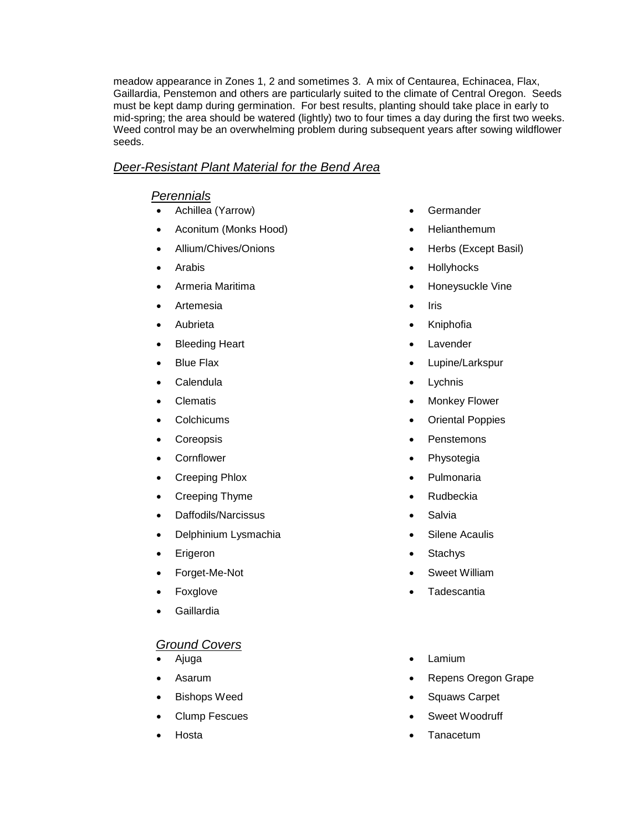meadow appearance in Zones 1, 2 and sometimes 3. A mix of Centaurea, Echinacea, Flax, Gaillardia, Penstemon and others are particularly suited to the climate of Central Oregon. Seeds must be kept damp during germination. For best results, planting should take place in early to mid-spring; the area should be watered (lightly) two to four times a day during the first two weeks. Weed control may be an overwhelming problem during subsequent years after sowing wildflower seeds.

# *Deer-Resistant Plant Material for the Bend Area*

# *Perennials*

- Achillea (Yarrow)
- Aconitum (Monks Hood)
- Allium/Chives/Onions
- Arabis
- Armeria Maritima
- Artemesia
- Aubrieta
- Bleeding Heart
- Blue Flax
- Calendula
- Clematis
- **Colchicums**
- Coreopsis
- **Cornflower**
- Creeping Phlox
- Creeping Thyme
- Daffodils/Narcissus
- Delphinium Lysmachia
- Erigeron
- Forget-Me-Not
- Foxglove
- Gaillardia

# *Ground Covers*

- Ajuga
- Asarum
- Bishops Weed
- Clump Fescues
- Hosta
- Germander
- **Helianthemum**
- Herbs (Except Basil)
- Hollyhocks
- Honeysuckle Vine
- $\bullet$  Iris
- Kniphofia
- Lavender
- Lupine/Larkspur
- Lychnis
- Monkey Flower
- Oriental Poppies
- Penstemons
- Physotegia
- Pulmonaria
- Rudbeckia
- Salvia
- Silene Acaulis
- Stachys
- Sweet William
- **Tadescantia**
- Lamium
- Repens Oregon Grape
- Squaws Carpet
- Sweet Woodruff
- Tanacetum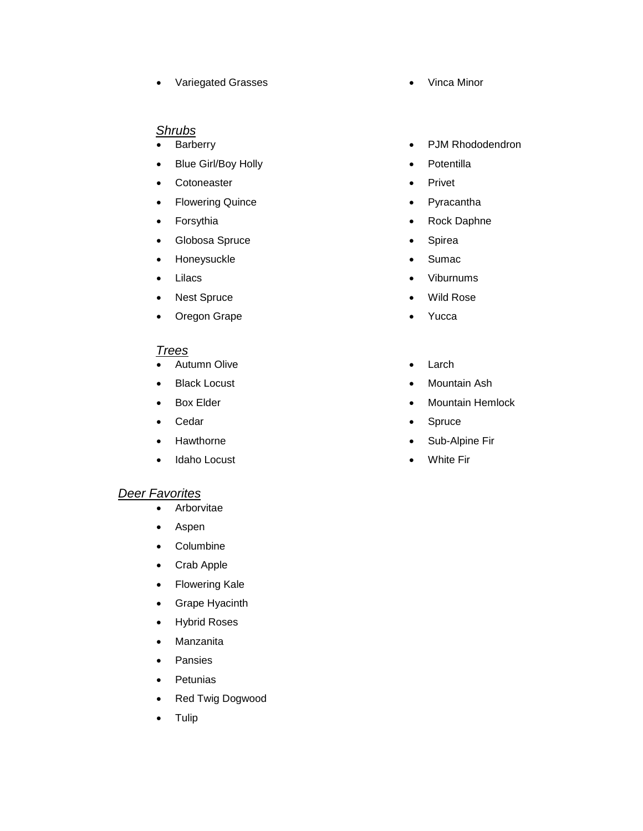• Variegated Grasses **Contains a Vinca Minor** 

# *Shrubs*

- **Barberry**
- Blue Girl/Boy Holly
- Cotoneaster
- Flowering Quince
- Forsythia
- Globosa Spruce
- Honeysuckle
- Lilacs
- Nest Spruce
- Oregon Grape

# *Trees*

- Autumn Olive
- Black Locust
- Box Elder
- Cedar
- Hawthorne
- Idaho Locust

# *Deer Favorites*

- Arborvitae
- Aspen
- Columbine
- Crab Apple
- Flowering Kale
- Grape Hyacinth
- Hybrid Roses
- Manzanita
- Pansies
- Petunias
- Red Twig Dogwood
- Tulip
- 
- PJM Rhododendron
- Potentilla
- Privet
- Pyracantha
- Rock Daphne
- Spirea
- Sumac
- Viburnums
- Wild Rose
- Yucca
- Larch
- Mountain Ash
- Mountain Hemlock
- Spruce
- Sub-Alpine Fir
- White Fir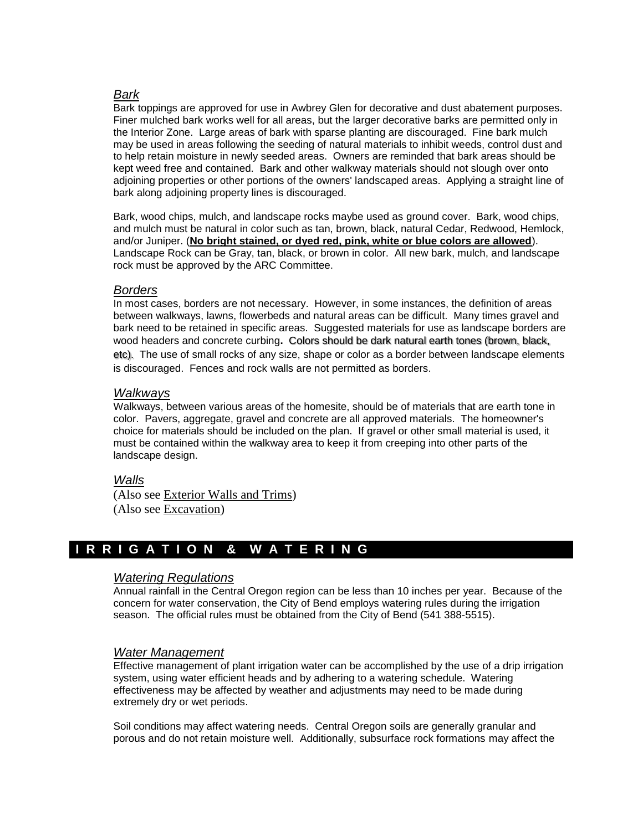# *Bark*

Bark toppings are approved for use in Awbrey Glen for decorative and dust abatement purposes. Finer mulched bark works well for all areas, but the larger decorative barks are permitted only in the Interior Zone. Large areas of bark with sparse planting are discouraged. Fine bark mulch may be used in areas following the seeding of natural materials to inhibit weeds, control dust and to help retain moisture in newly seeded areas. Owners are reminded that bark areas should be kept weed free and contained. Bark and other walkway materials should not slough over onto adjoining properties or other portions of the owners' landscaped areas. Applying a straight line of bark along adjoining property lines is discouraged.

Bark, wood chips, mulch, and landscape rocks maybe used as ground cover. Bark, wood chips, and mulch must be natural in color such as tan, brown, black, natural Cedar, Redwood, Hemlock, and/or Juniper. (**No bright stained, or dyed red, pink, white or blue colors are allowed**). Landscape Rock can be Gray, tan, black, or brown in color. All new bark, mulch, and landscape rock must be approved by the ARC Committee.

# *Borders*

In most cases, borders are not necessary. However, in some instances, the definition of areas between walkways, lawns, flowerbeds and natural areas can be difficult. Many times gravel and bark need to be retained in specific areas. Suggested materials for use as landscape borders are wood headers and concrete curbing**.** Colors should be dark natural earth tones (brown, black, etc). The use of small rocks of any size, shape or color as a border between landscape elements is discouraged. Fences and rock walls are not permitted as borders.

# *Walkways*

Walkways, between various areas of the homesite, should be of materials that are earth tone in color. Pavers, aggregate, gravel and concrete are all approved materials. The homeowner's choice for materials should be included on the plan. If gravel or other small material is used, it must be contained within the walkway area to keep it from creeping into other parts of the landscape design.

# *Walls*

(Also see Exterior Walls and Trims) (Also see Excavation)

# **I R R I G A T I O N & W A T E R I N G**

## *Watering Regulations*

Annual rainfall in the Central Oregon region can be less than 10 inches per year. Because of the concern for water conservation, the City of Bend employs watering rules during the irrigation season. The official rules must be obtained from the City of Bend (541 388-5515).

## *Water Management*

Effective management of plant irrigation water can be accomplished by the use of a drip irrigation system, using water efficient heads and by adhering to a watering schedule. Watering effectiveness may be affected by weather and adjustments may need to be made during extremely dry or wet periods.

Soil conditions may affect watering needs. Central Oregon soils are generally granular and porous and do not retain moisture well. Additionally, subsurface rock formations may affect the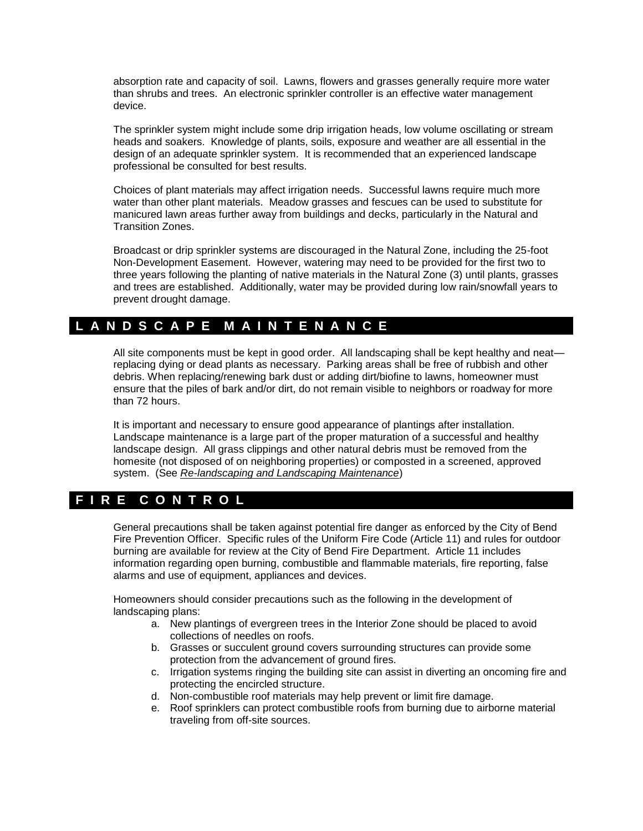absorption rate and capacity of soil. Lawns, flowers and grasses generally require more water than shrubs and trees. An electronic sprinkler controller is an effective water management device.

The sprinkler system might include some drip irrigation heads, low volume oscillating or stream heads and soakers. Knowledge of plants, soils, exposure and weather are all essential in the design of an adequate sprinkler system. It is recommended that an experienced landscape professional be consulted for best results.

Choices of plant materials may affect irrigation needs. Successful lawns require much more water than other plant materials. Meadow grasses and fescues can be used to substitute for manicured lawn areas further away from buildings and decks, particularly in the Natural and Transition Zones.

Broadcast or drip sprinkler systems are discouraged in the Natural Zone, including the 25-foot Non-Development Easement. However, watering may need to be provided for the first two to three years following the planting of native materials in the Natural Zone (3) until plants, grasses and trees are established. Additionally, water may be provided during low rain/snowfall years to prevent drought damage.

# **L A N D S C A P E M A I N T E N A N C E**

All site components must be kept in good order. All landscaping shall be kept healthy and neat replacing dying or dead plants as necessary. Parking areas shall be free of rubbish and other debris. When replacing/renewing bark dust or adding dirt/biofine to lawns, homeowner must ensure that the piles of bark and/or dirt, do not remain visible to neighbors or roadway for more than 72 hours.

It is important and necessary to ensure good appearance of plantings after installation. Landscape maintenance is a large part of the proper maturation of a successful and healthy landscape design. All grass clippings and other natural debris must be removed from the homesite (not disposed of on neighboring properties) or composted in a screened, approved system. (See *Re-landscaping and Landscaping Maintenance*)

# **F I R E C O N T R O L**

General precautions shall be taken against potential fire danger as enforced by the City of Bend Fire Prevention Officer. Specific rules of the Uniform Fire Code (Article 11) and rules for outdoor burning are available for review at the City of Bend Fire Department. Article 11 includes information regarding open burning, combustible and flammable materials, fire reporting, false alarms and use of equipment, appliances and devices.

Homeowners should consider precautions such as the following in the development of landscaping plans:

- a. New plantings of evergreen trees in the Interior Zone should be placed to avoid collections of needles on roofs.
- b. Grasses or succulent ground covers surrounding structures can provide some protection from the advancement of ground fires.
- c. Irrigation systems ringing the building site can assist in diverting an oncoming fire and protecting the encircled structure.
- d. Non-combustible roof materials may help prevent or limit fire damage.
- e. Roof sprinklers can protect combustible roofs from burning due to airborne material traveling from off-site sources.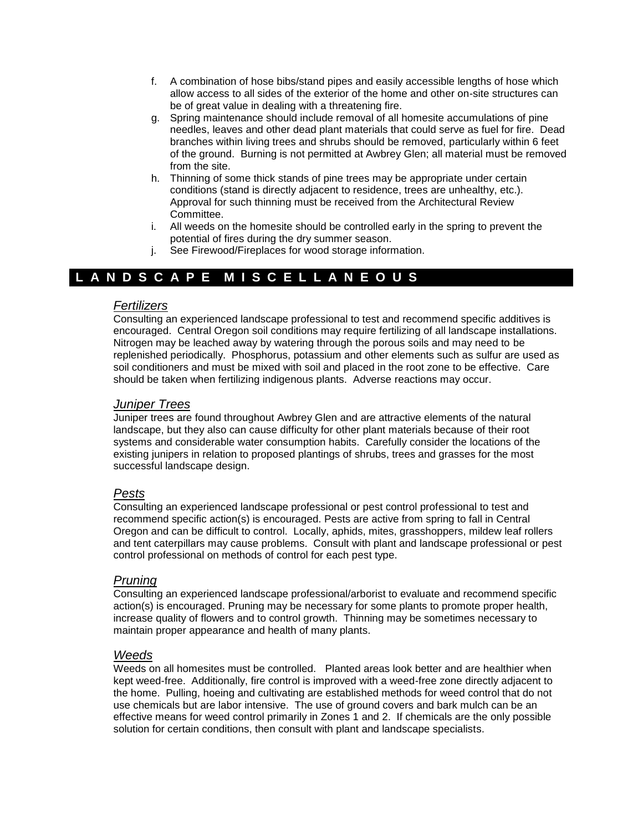- f. A combination of hose bibs/stand pipes and easily accessible lengths of hose which allow access to all sides of the exterior of the home and other on-site structures can be of great value in dealing with a threatening fire.
- g. Spring maintenance should include removal of all homesite accumulations of pine needles, leaves and other dead plant materials that could serve as fuel for fire. Dead branches within living trees and shrubs should be removed, particularly within 6 feet of the ground. Burning is not permitted at Awbrey Glen; all material must be removed from the site.
- h. Thinning of some thick stands of pine trees may be appropriate under certain conditions (stand is directly adjacent to residence, trees are unhealthy, etc.). Approval for such thinning must be received from the Architectural Review Committee.
- i. All weeds on the homesite should be controlled early in the spring to prevent the potential of fires during the dry summer season.
- j. See Firewood/Fireplaces for wood storage information.

# **L A N D S C A P E M I S C E L L A N E O U S**

## *Fertilizers*

Consulting an experienced landscape professional to test and recommend specific additives is encouraged. Central Oregon soil conditions may require fertilizing of all landscape installations. Nitrogen may be leached away by watering through the porous soils and may need to be replenished periodically. Phosphorus, potassium and other elements such as sulfur are used as soil conditioners and must be mixed with soil and placed in the root zone to be effective. Care should be taken when fertilizing indigenous plants. Adverse reactions may occur.

# *Juniper Trees*

Juniper trees are found throughout Awbrey Glen and are attractive elements of the natural landscape, but they also can cause difficulty for other plant materials because of their root systems and considerable water consumption habits. Carefully consider the locations of the existing junipers in relation to proposed plantings of shrubs, trees and grasses for the most successful landscape design.

# *Pests*

Consulting an experienced landscape professional or pest control professional to test and recommend specific action(s) is encouraged. Pests are active from spring to fall in Central Oregon and can be difficult to control. Locally, aphids, mites, grasshoppers, mildew leaf rollers and tent caterpillars may cause problems. Consult with plant and landscape professional or pest control professional on methods of control for each pest type.

# *Pruning*

Consulting an experienced landscape professional/arborist to evaluate and recommend specific action(s) is encouraged. Pruning may be necessary for some plants to promote proper health, increase quality of flowers and to control growth. Thinning may be sometimes necessary to maintain proper appearance and health of many plants.

## *Weeds*

Weeds on all homesites must be controlled. Planted areas look better and are healthier when kept weed-free. Additionally, fire control is improved with a weed-free zone directly adjacent to the home. Pulling, hoeing and cultivating are established methods for weed control that do not use chemicals but are labor intensive. The use of ground covers and bark mulch can be an effective means for weed control primarily in Zones 1 and 2. If chemicals are the only possible solution for certain conditions, then consult with plant and landscape specialists.